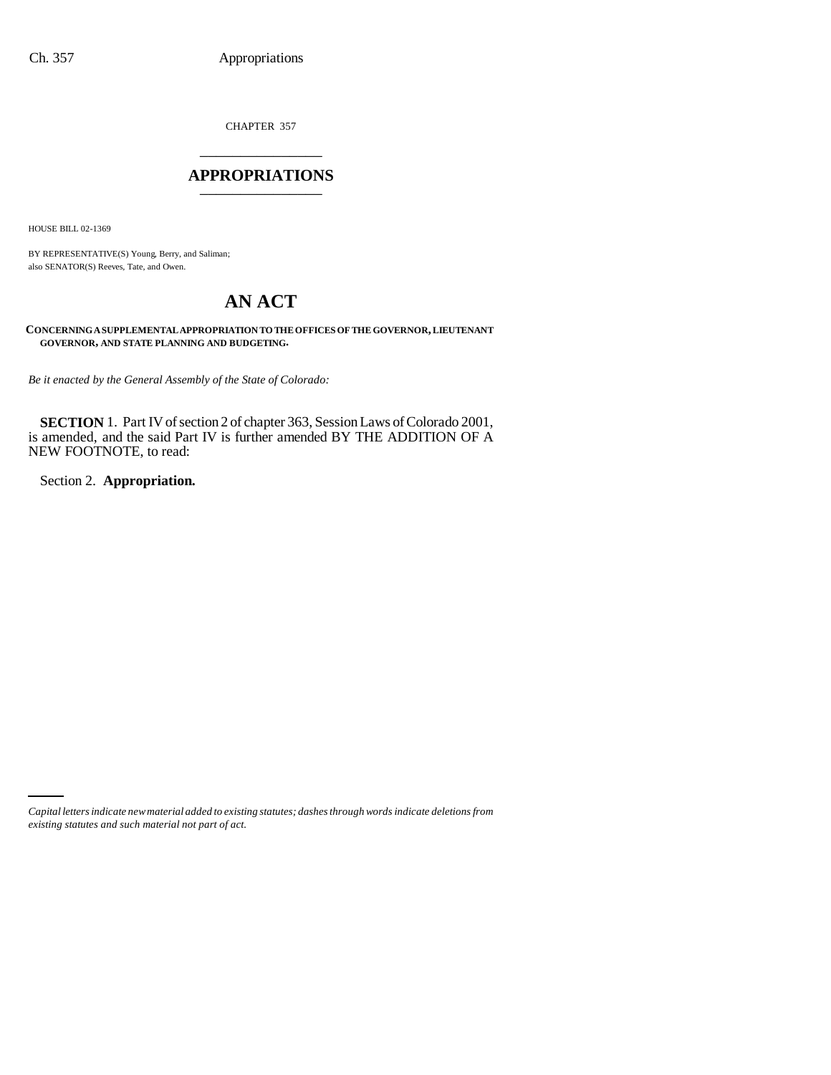CHAPTER 357 \_\_\_\_\_\_\_\_\_\_\_\_\_\_\_

### **APPROPRIATIONS** \_\_\_\_\_\_\_\_\_\_\_\_\_\_\_

HOUSE BILL 02-1369

BY REPRESENTATIVE(S) Young, Berry, and Saliman; also SENATOR(S) Reeves, Tate, and Owen.

# **AN ACT**

**CONCERNING A SUPPLEMENTAL APPROPRIATION TO THE OFFICES OF THE GOVERNOR, LIEUTENANT GOVERNOR, AND STATE PLANNING AND BUDGETING.**

*Be it enacted by the General Assembly of the State of Colorado:*

**SECTION** 1. Part IV of section 2 of chapter 363, Session Laws of Colorado 2001, is amended, and the said Part IV is further amended BY THE ADDITION OF A NEW FOOTNOTE, to read:

Section 2. **Appropriation.**

*Capital letters indicate new material added to existing statutes; dashes through words indicate deletions from existing statutes and such material not part of act.*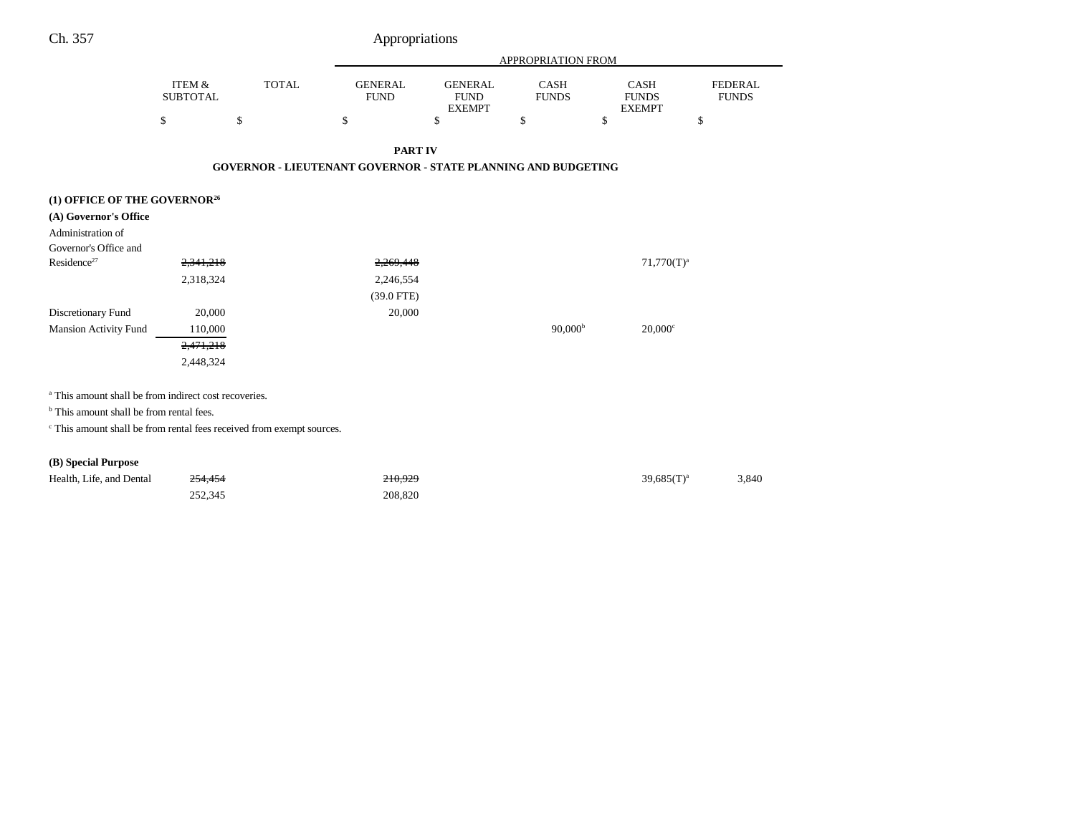| Ch. 357 | Appropriations |
|---------|----------------|
|         |                |

|                                                                                  |                                                                      |              |                               |                                                | APPROPRIATION FROM          |                                              |                                |
|----------------------------------------------------------------------------------|----------------------------------------------------------------------|--------------|-------------------------------|------------------------------------------------|-----------------------------|----------------------------------------------|--------------------------------|
|                                                                                  | ITEM &<br><b>SUBTOTAL</b>                                            | <b>TOTAL</b> | <b>GENERAL</b><br><b>FUND</b> | <b>GENERAL</b><br><b>FUND</b><br><b>EXEMPT</b> | <b>CASH</b><br><b>FUNDS</b> | <b>CASH</b><br><b>FUNDS</b><br><b>EXEMPT</b> | <b>FEDERAL</b><br><b>FUNDS</b> |
|                                                                                  | \$                                                                   | \$           | \$                            | \$                                             | \$                          | \$                                           | \$                             |
|                                                                                  |                                                                      |              | <b>PART IV</b>                |                                                |                             |                                              |                                |
|                                                                                  | <b>GOVERNOR - LIEUTENANT GOVERNOR - STATE PLANNING AND BUDGETING</b> |              |                               |                                                |                             |                                              |                                |
|                                                                                  |                                                                      |              |                               |                                                |                             |                                              |                                |
| (1) OFFICE OF THE GOVERNOR <sup>26</sup><br>(A) Governor's Office                |                                                                      |              |                               |                                                |                             |                                              |                                |
| Administration of                                                                |                                                                      |              |                               |                                                |                             |                                              |                                |
| Governor's Office and                                                            |                                                                      |              |                               |                                                |                             |                                              |                                |
| Residence <sup>27</sup>                                                          | 2,341,218                                                            |              | 2,269,448                     |                                                |                             | $71,770(T)^a$                                |                                |
|                                                                                  | 2,318,324                                                            |              | 2,246,554                     |                                                |                             |                                              |                                |
|                                                                                  |                                                                      |              | $(39.0$ FTE)                  |                                                |                             |                                              |                                |
| Discretionary Fund                                                               | 20,000                                                               |              | 20,000                        |                                                |                             |                                              |                                |
| <b>Mansion Activity Fund</b>                                                     | 110,000                                                              |              |                               |                                                | 90,000 <sup>b</sup>         | $20,000$ <sup>c</sup>                        |                                |
|                                                                                  | 2,471,218                                                            |              |                               |                                                |                             |                                              |                                |
|                                                                                  | 2,448,324                                                            |              |                               |                                                |                             |                                              |                                |
| <sup>a</sup> This amount shall be from indirect cost recoveries.                 |                                                                      |              |                               |                                                |                             |                                              |                                |
|                                                                                  |                                                                      |              |                               |                                                |                             |                                              |                                |
|                                                                                  | <sup>b</sup> This amount shall be from rental fees.                  |              |                               |                                                |                             |                                              |                                |
| <sup>c</sup> This amount shall be from rental fees received from exempt sources. |                                                                      |              |                               |                                                |                             |                                              |                                |

**(B) Special Purpose**

| Health, Life, and Dental | 254,454 | 210,929 | $39.685(T)^a$ | 3.840 |
|--------------------------|---------|---------|---------------|-------|
|                          | 252.345 | 208,820 |               |       |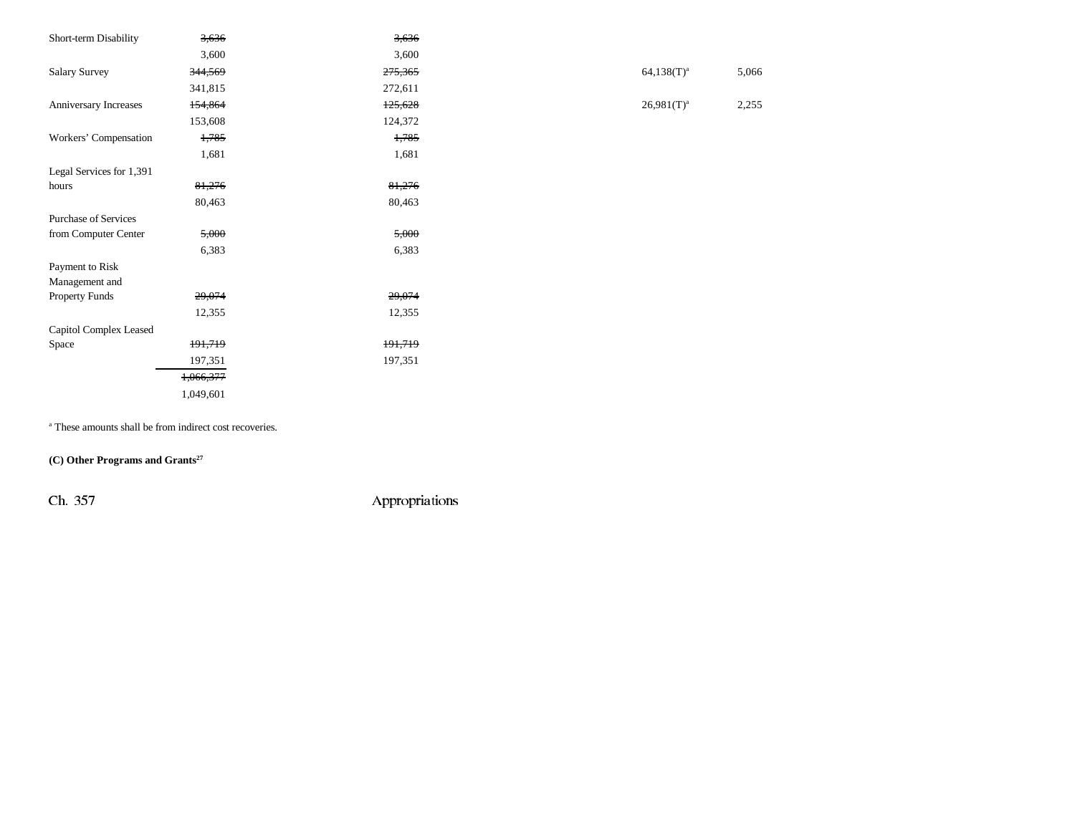| Short-term Disability       | 3,636     | 3,636   |                 |       |
|-----------------------------|-----------|---------|-----------------|-------|
|                             | 3,600     | 3,600   |                 |       |
| <b>Salary Survey</b>        | 344,569   | 275,365 | $64,138(T)^{a}$ | 5,066 |
|                             |           |         |                 |       |
|                             | 341,815   | 272,611 |                 |       |
| Anniversary Increases       | 154,864   | 125,628 | $26,981(T)^a$   | 2,255 |
|                             | 153,608   | 124,372 |                 |       |
| Workers' Compensation       | 1,785     | 1,785   |                 |       |
|                             | 1,681     | 1,681   |                 |       |
| Legal Services for 1,391    |           |         |                 |       |
| hours                       | 81,276    | 81,276  |                 |       |
|                             | 80,463    | 80,463  |                 |       |
| <b>Purchase of Services</b> |           |         |                 |       |
| from Computer Center        | 5,000     | 5,000   |                 |       |
|                             | 6,383     | 6,383   |                 |       |
| Payment to Risk             |           |         |                 |       |
| Management and              |           |         |                 |       |
| Property Funds              | 29,074    | 29,074  |                 |       |
|                             | 12,355    | 12,355  |                 |       |
| Capitol Complex Leased      |           |         |                 |       |
| Space                       | 191,719   | 191,719 |                 |       |
|                             | 197,351   | 197,351 |                 |       |
|                             | 1,066,377 |         |                 |       |
|                             | 1,049,601 |         |                 |       |
|                             |           |         |                 |       |

a These amounts shall be from indirect cost recoveries.

**(C) Other Programs and Grants27**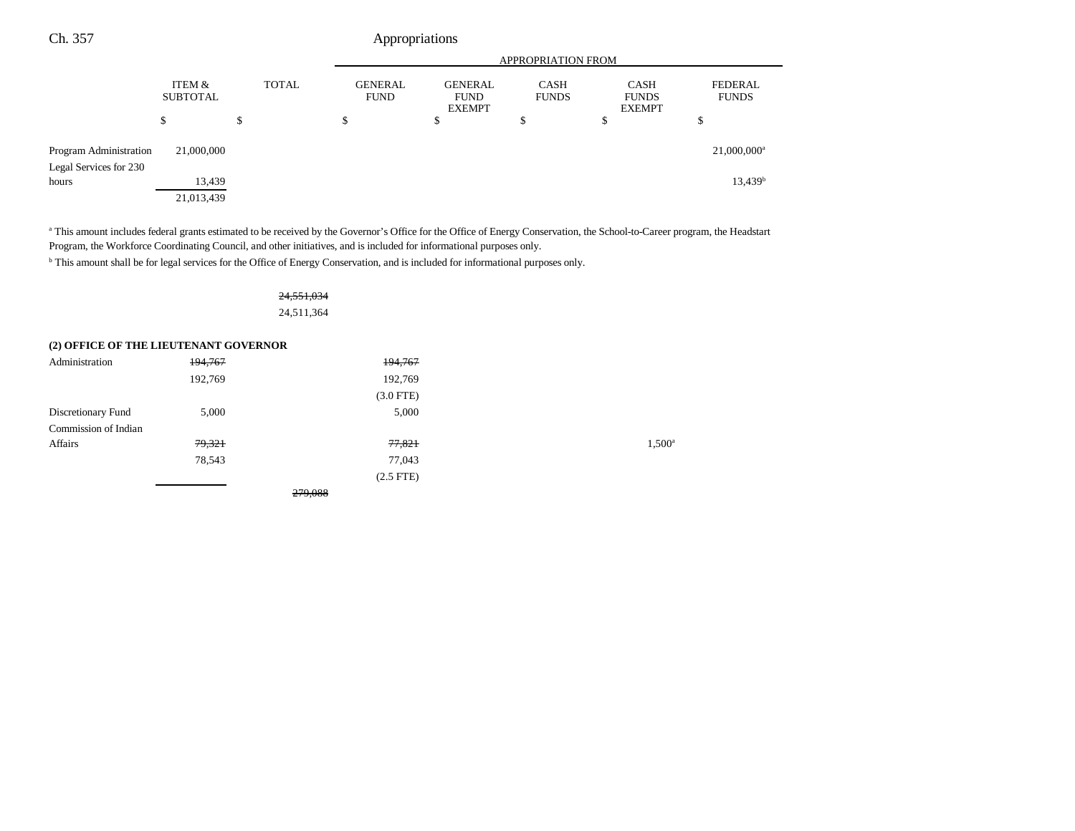|                                                  |                           |              | <b>APPROPRIATION FROM</b>     |                                                |                             |                                              |                                |
|--------------------------------------------------|---------------------------|--------------|-------------------------------|------------------------------------------------|-----------------------------|----------------------------------------------|--------------------------------|
|                                                  | ITEM &<br><b>SUBTOTAL</b> | <b>TOTAL</b> | <b>GENERAL</b><br><b>FUND</b> | <b>GENERAL</b><br><b>FUND</b><br><b>EXEMPT</b> | <b>CASH</b><br><b>FUNDS</b> | <b>CASH</b><br><b>FUNDS</b><br><b>EXEMPT</b> | <b>FEDERAL</b><br><b>FUNDS</b> |
|                                                  | \$                        | \$           | \$                            | \$                                             | Φ                           | \$                                           | Φ                              |
| Program Administration<br>Legal Services for 230 | 21,000,000                |              |                               |                                                |                             |                                              | 21,000,000 <sup>a</sup>        |
| hours                                            | 13,439<br>21,013,439      |              |                               |                                                |                             |                                              | 13,439 <sup>b</sup>            |

<sup>a</sup> This amount includes federal grants estimated to be received by the Governor's Office for the Office of Energy Conservation, the School-to-Career program, the Headstart Program, the Workforce Coordinating Council, and other initiatives, and is included for informational purposes only.

b This amount shall be for legal services for the Office of Energy Conservation, and is included for informational purposes only.

## 24,551,034 24,511,364

#### **(2) OFFICE OF THE LIEUTENANT GOVERNOR**

| Administration       | 194,767 | 194,767     |                 |
|----------------------|---------|-------------|-----------------|
|                      | 192,769 | 192,769     |                 |
|                      |         | $(3.0$ FTE) |                 |
| Discretionary Fund   | 5,000   | 5,000       |                 |
| Commission of Indian |         |             |                 |
| Affairs              | 79,321  | 77,821      | $1,500^{\circ}$ |
|                      | 78,543  | 77,043      |                 |
|                      |         | $(2.5$ FTE) |                 |
|                      |         | 279,088     |                 |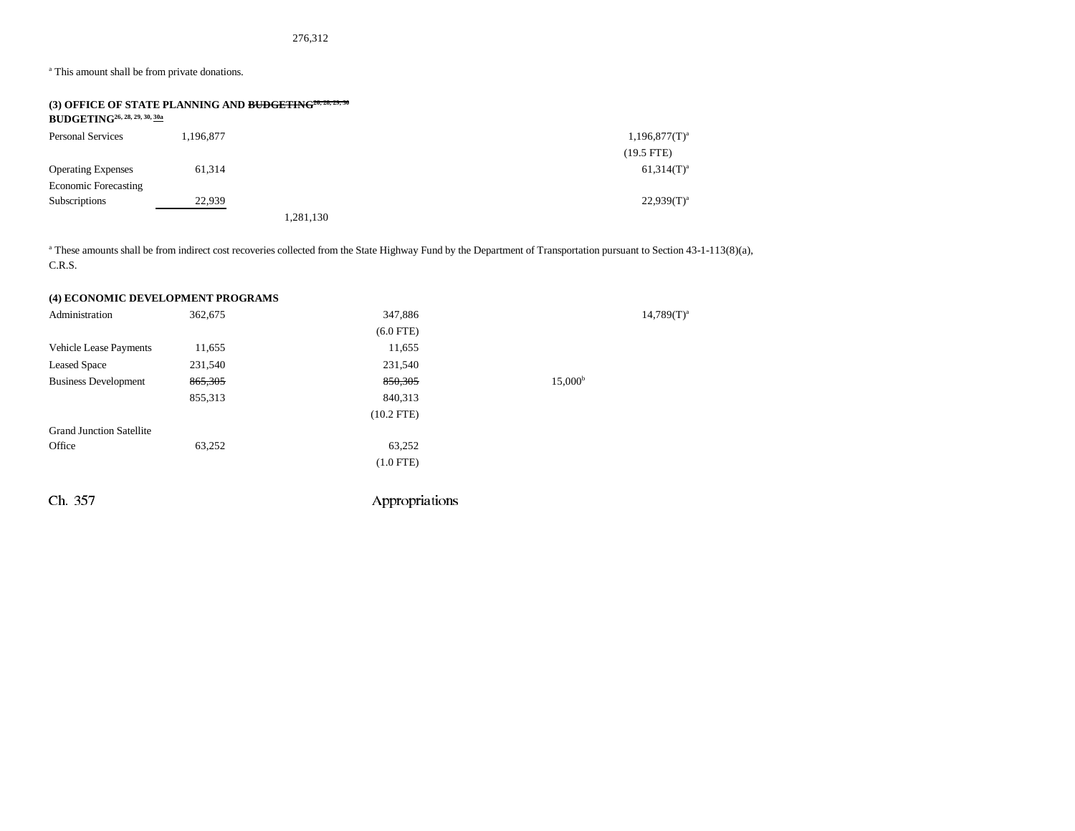276,312

<sup>a</sup> This amount shall be from private donations.

| $BUDGETING^{26, 28, 29, 30, \underline{30a}}$ | (3) OFFICE OF STATE PLANNING AND BUDGETING <sup>26, 28, 29, 30</sup> |           |                  |
|-----------------------------------------------|----------------------------------------------------------------------|-----------|------------------|
| <b>Personal Services</b>                      | 1.196.877                                                            |           | $1,196,877(T)^a$ |
|                                               |                                                                      |           | $(19.5$ FTE)     |
| <b>Operating Expenses</b>                     | 61.314                                                               |           | $61,314(T)^{a}$  |
| <b>Economic Forecasting</b>                   |                                                                      |           |                  |
| <b>Subscriptions</b>                          | 22,939                                                               |           | $22,939(T)^a$    |
|                                               |                                                                      | 1,281,130 |                  |

<sup>a</sup> These amounts shall be from indirect cost recoveries collected from the State Highway Fund by the Department of Transportation pursuant to Section 43-1-113(8)(a), C.R.S.

## **(4) ECONOMIC DEVELOPMENT PROGRAMS**

| Administration                  | 362,675 | 347,886        |                  | $14,789(T)^{a}$ |
|---------------------------------|---------|----------------|------------------|-----------------|
|                                 |         | $(6.0$ FTE)    |                  |                 |
| Vehicle Lease Payments          | 11,655  | 11,655         |                  |                 |
| <b>Leased Space</b>             | 231,540 | 231,540        |                  |                 |
| <b>Business Development</b>     | 865,305 | 850,305        | $15,000^{\rm b}$ |                 |
|                                 | 855,313 | 840,313        |                  |                 |
|                                 |         | $(10.2$ FTE)   |                  |                 |
| <b>Grand Junction Satellite</b> |         |                |                  |                 |
| Office                          | 63,252  | 63,252         |                  |                 |
|                                 |         | $(1.0$ FTE)    |                  |                 |
|                                 |         |                |                  |                 |
| Ch. 357                         |         | Appropriations |                  |                 |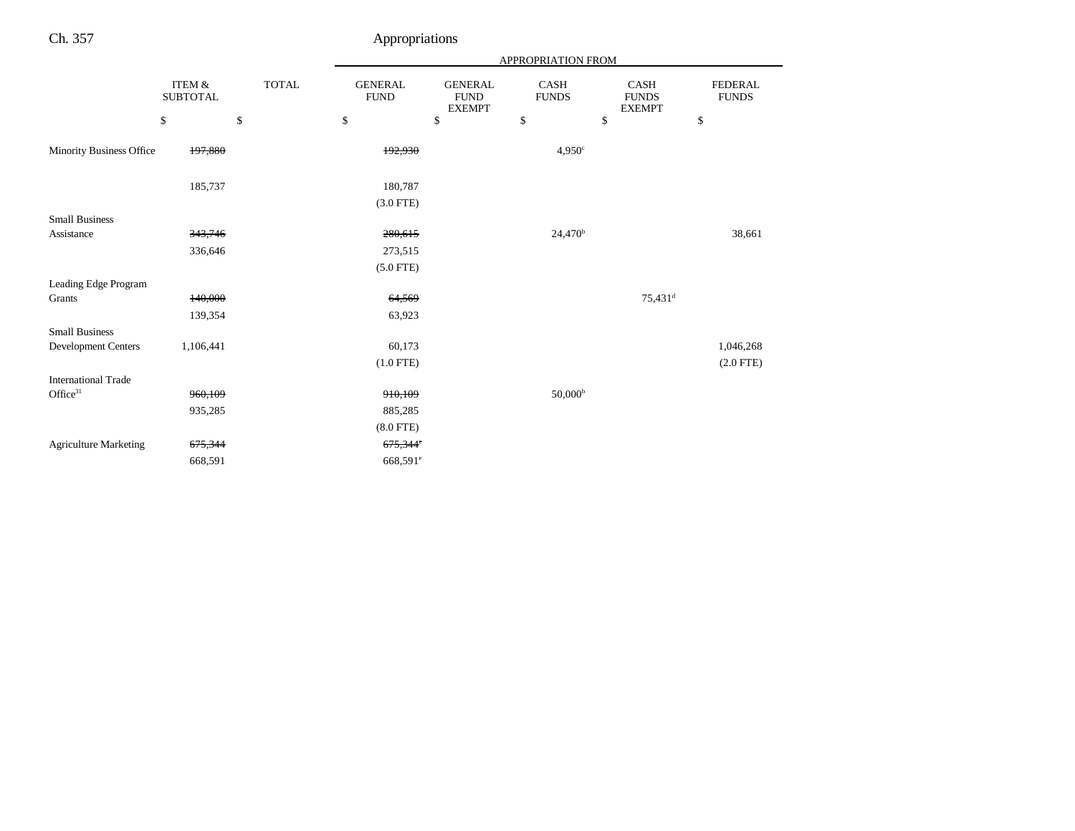|                              |                           |              | APPROPRIATION FROM            |                                                |                             |                                       |                                |
|------------------------------|---------------------------|--------------|-------------------------------|------------------------------------------------|-----------------------------|---------------------------------------|--------------------------------|
|                              | ITEM &<br><b>SUBTOTAL</b> | <b>TOTAL</b> | <b>GENERAL</b><br><b>FUND</b> | <b>GENERAL</b><br><b>FUND</b><br><b>EXEMPT</b> | <b>CASH</b><br><b>FUNDS</b> | CASH<br><b>FUNDS</b><br><b>EXEMPT</b> | <b>FEDERAL</b><br><b>FUNDS</b> |
|                              | \$                        | \$           | $\mathbb{S}$                  | \$                                             | \$                          | \$                                    | \$                             |
| Minority Business Office     | 197,880                   |              | 192,930                       |                                                | 4,950°                      |                                       |                                |
|                              | 185,737                   |              | 180,787                       |                                                |                             |                                       |                                |
|                              |                           |              | $(3.0$ FTE)                   |                                                |                             |                                       |                                |
| <b>Small Business</b>        |                           |              |                               |                                                |                             |                                       |                                |
| Assistance                   | 343,746                   |              | 280,615                       |                                                | 24,470 <sup>b</sup>         |                                       | 38,661                         |
|                              | 336,646                   |              | 273,515                       |                                                |                             |                                       |                                |
|                              |                           |              | $(5.0$ FTE)                   |                                                |                             |                                       |                                |
| Leading Edge Program         |                           |              |                               |                                                |                             |                                       |                                |
| Grants                       | 140,000                   |              | 64,569                        |                                                |                             | $75,431$ <sup>d</sup>                 |                                |
|                              | 139,354                   |              | 63,923                        |                                                |                             |                                       |                                |
| <b>Small Business</b>        |                           |              |                               |                                                |                             |                                       |                                |
| Development Centers          | 1,106,441                 |              | 60,173                        |                                                |                             |                                       | 1,046,268                      |
|                              |                           |              | $(1.0$ FTE)                   |                                                |                             |                                       | $(2.0$ FTE $)$                 |
| <b>International Trade</b>   |                           |              |                               |                                                |                             |                                       |                                |
| Office $31$                  | 960,109                   |              | 910,109                       |                                                | 50,000 <sup>b</sup>         |                                       |                                |
|                              | 935,285                   |              | 885,285                       |                                                |                             |                                       |                                |
|                              |                           |              | $(8.0$ FTE)                   |                                                |                             |                                       |                                |
| <b>Agriculture Marketing</b> | 675,344                   |              | 675,344°                      |                                                |                             |                                       |                                |
|                              | 668,591                   |              | 668,591 <sup>e</sup>          |                                                |                             |                                       |                                |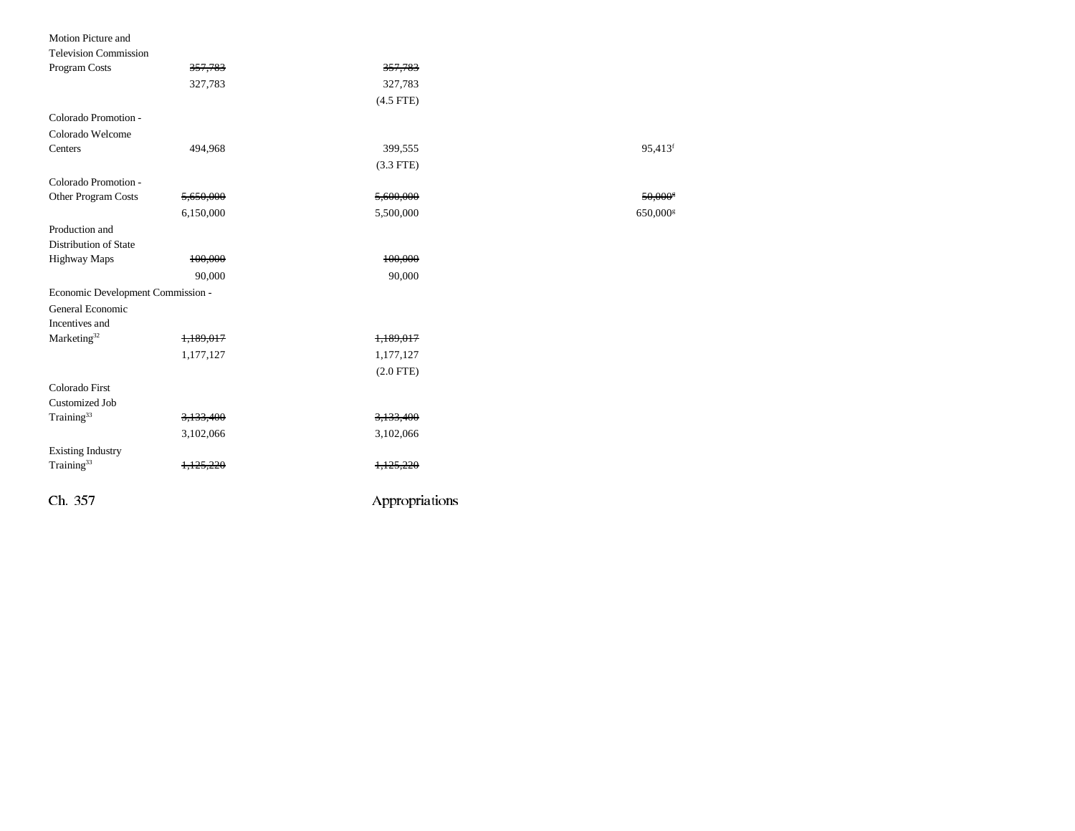#### Motion Picture and

| <b>Television Commission</b>      |           |                |                       |
|-----------------------------------|-----------|----------------|-----------------------|
| Program Costs                     | 357,783   | 357,783        |                       |
|                                   | 327,783   | 327,783        |                       |
|                                   |           | $(4.5$ FTE)    |                       |
| Colorado Promotion -              |           |                |                       |
| Colorado Welcome                  |           |                |                       |
| Centers                           | 494,968   | 399,555        | 95,413 <sup>f</sup>   |
|                                   |           | $(3.3$ FTE)    |                       |
| Colorado Promotion -              |           |                |                       |
| Other Program Costs               | 5,650,000 | 5,600,000      | $50,000$ <sup>s</sup> |
|                                   | 6,150,000 | 5,500,000      | 650,000               |
| Production and                    |           |                |                       |
| Distribution of State             |           |                |                       |
| <b>Highway Maps</b>               | 100,000   | 100,000        |                       |
|                                   | 90,000    | 90,000         |                       |
| Economic Development Commission - |           |                |                       |
| General Economic                  |           |                |                       |
| Incentives and                    |           |                |                       |
| Marketing <sup>32</sup>           | 1,189,017 | 1,189,017      |                       |
|                                   | 1,177,127 | 1,177,127      |                       |
|                                   |           | $(2.0$ FTE)    |                       |
| Colorado First                    |           |                |                       |
| <b>Customized Job</b>             |           |                |                       |
| Training <sup>33</sup>            | 3,133,400 | 3,133,400      |                       |
|                                   | 3,102,066 | 3,102,066      |                       |
| <b>Existing Industry</b>          |           |                |                       |
| Training <sup>33</sup>            | 1,125,220 | 1.125.220      |                       |
| Ch. 357                           |           | Appropriations |                       |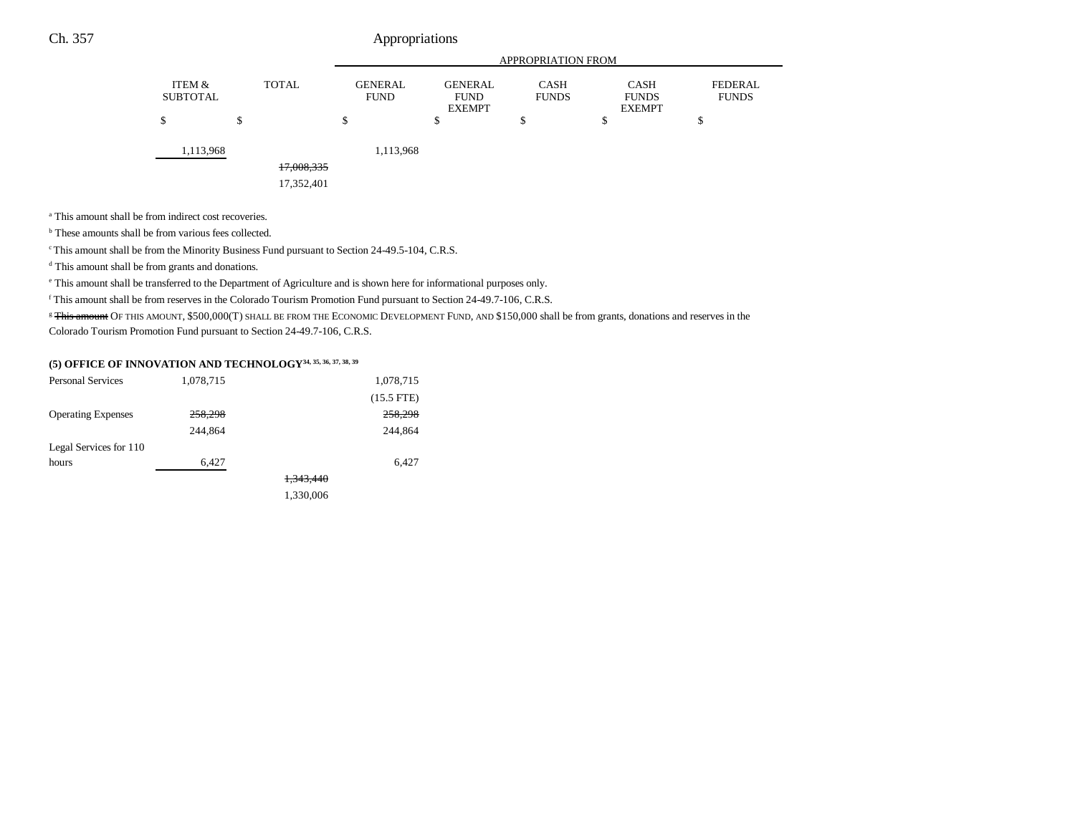|                           |   |              |                               |                                                | <b>APPROPRIATION FROM</b>   |                                              |                                |
|---------------------------|---|--------------|-------------------------------|------------------------------------------------|-----------------------------|----------------------------------------------|--------------------------------|
| ITEM &<br><b>SUBTOTAL</b> |   | <b>TOTAL</b> | <b>GENERAL</b><br><b>FUND</b> | <b>GENERAL</b><br><b>FUND</b><br><b>EXEMPT</b> | <b>CASH</b><br><b>FUNDS</b> | <b>CASH</b><br><b>FUNDS</b><br><b>EXEMPT</b> | <b>FEDERAL</b><br><b>FUNDS</b> |
| \$                        | C |              | \$                            | ¢<br>D                                         | \$                          | \$                                           | ¢<br>Ф                         |
| 1,113,968                 |   |              | 1,113,968                     |                                                |                             |                                              |                                |
|                           |   | 17,008,335   |                               |                                                |                             |                                              |                                |
|                           |   | 17,352,401   |                               |                                                |                             |                                              |                                |

<sup>a</sup> This amount shall be from indirect cost recoveries.

<sup>b</sup> These amounts shall be from various fees collected.

<sup>c</sup> This amount shall be from the Minority Business Fund pursuant to Section 24-49.5-104, C.R.S.

d This amount shall be from grants and donations.

e This amount shall be transferred to the Department of Agriculture and is shown here for informational purposes only.

f This amount shall be from reserves in the Colorado Tourism Promotion Fund pursuant to Section 24-49.7-106, C.R.S.

<sup>g</sup> This amount OF THIS AMOUNT, \$500,000(T) SHALL BE FROM THE ECONOMIC DEVELOPMENT FUND, AND \$150,000 shall be from grants, donations and reserves in the Colorado Tourism Promotion Fund pursuant to Section 24-49.7-106, C.R.S.

# **(5) OFFICE OF INNOVATION AND TECHNOLOGY34, 35, 36, 37, 38, 39**

| <b>Personal Services</b>  | 1,078,715 | 1,078,715    |
|---------------------------|-----------|--------------|
|                           |           | $(15.5$ FTE) |
| <b>Operating Expenses</b> | 258,298   | 258,298      |
|                           | 244,864   | 244,864      |
| Legal Services for 110    |           |              |
| hours                     | 6,427     | 6,427        |
|                           |           | 1,343,440    |
|                           |           | 1,330,006    |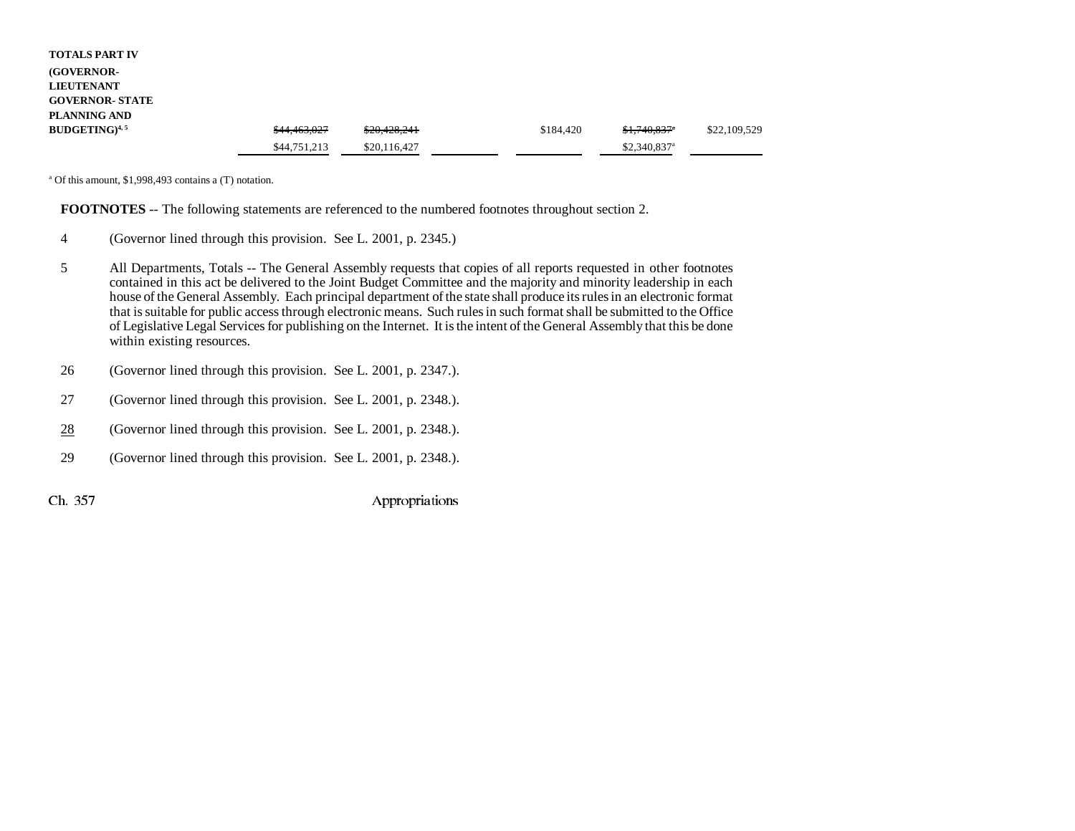| <b>TOTALS PART IV</b>  |              |              |           |                           |              |
|------------------------|--------------|--------------|-----------|---------------------------|--------------|
| (GOVERNOR-             |              |              |           |                           |              |
| <b>LIEUTENANT</b>      |              |              |           |                           |              |
| <b>GOVERNOR- STATE</b> |              |              |           |                           |              |
| PLANNING AND           |              |              |           |                           |              |
| $BUDGETING)^{4,5}$     | \$44,463,027 | \$20,428,241 | \$184.420 | $$1,740,837$ <sup>a</sup> | \$22,109,529 |
|                        | \$44,751,213 | \$20,116,427 |           | $$2,340,837$ <sup>a</sup> |              |

a Of this amount, \$1,998,493 contains a (T) notation.

**FOOTNOTES** -- The following statements are referenced to the numbered footnotes throughout section 2.

- 4 (Governor lined through this provision. See L. 2001, p. 2345.)
- 5 All Departments, Totals -- The General Assembly requests that copies of all reports requested in other footnotes contained in this act be delivered to the Joint Budget Committee and the majority and minority leadership in each house of the General Assembly. Each principal department of the state shall produce its rules in an electronic format that is suitable for public access through electronic means. Such rules in such format shall be submitted to the Office of Legislative Legal Services for publishing on the Internet. It is the intent of the General Assembly that this be done within existing resources.
- 26 (Governor lined through this provision. See L. 2001, p. 2347.).
- 27 (Governor lined through this provision. See L. 2001, p. 2348.).
- 28(Governor lined through this provision. See L. 2001, p. 2348.).
- 29 (Governor lined through this provision. See L. 2001, p. 2348.).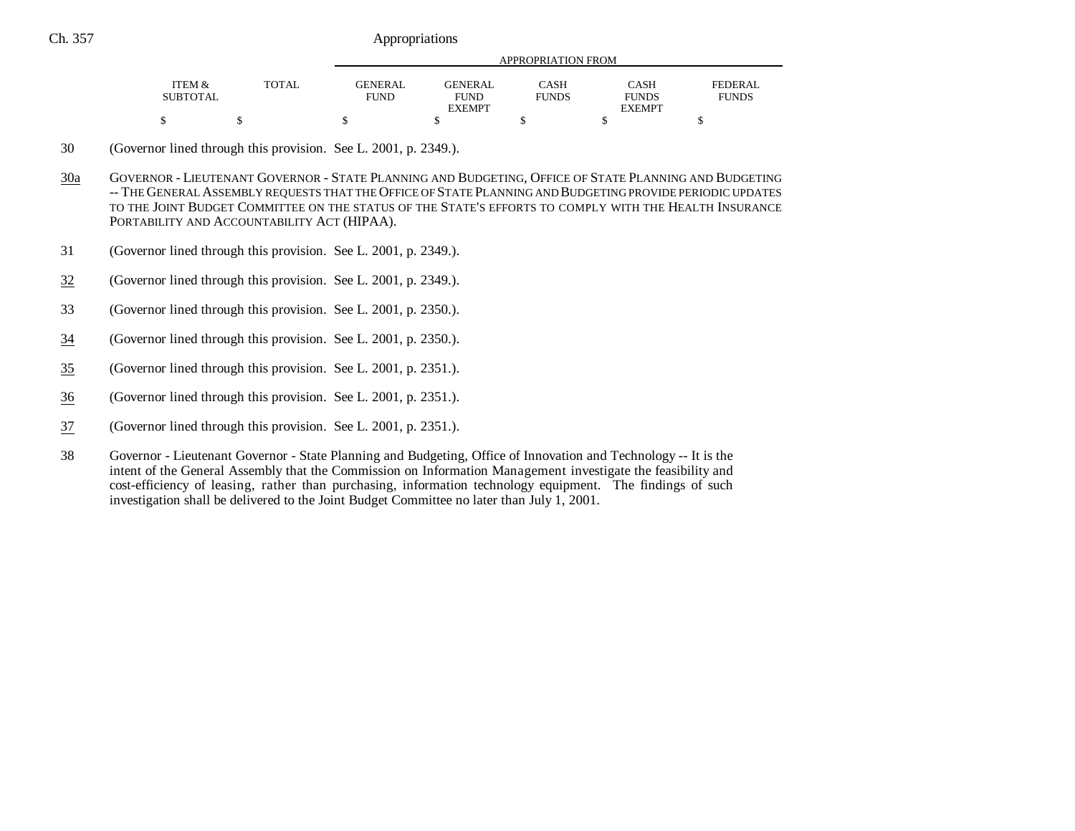|                 | TOTAL | APPROPRIATION FROM |                |              |               |                |  |
|-----------------|-------|--------------------|----------------|--------------|---------------|----------------|--|
| ITEM &          |       | <b>GENERAL</b>     | <b>GENERAL</b> | CASH         | CASH          | <b>FEDERAL</b> |  |
| <b>SUBTOTAL</b> |       | <b>FUND</b>        | <b>FUND</b>    | <b>FUNDS</b> | <b>FUNDS</b>  | <b>FUNDS</b>   |  |
|                 |       |                    | <b>EXEMPT</b>  |              | <b>EXEMPT</b> |                |  |
|                 |       |                    |                |              |               |                |  |

<sup>30</sup> (Governor lined through this provision. See L. 2001, p. 2349.).

- 30a GOVERNOR - LIEUTENANT GOVERNOR - STATE PLANNING AND BUDGETING, OFFICE OF STATE PLANNING AND BUDGETING -- THE GENERAL ASSEMBLY REQUESTS THAT THE OFFICE OF STATE PLANNING AND BUDGETING PROVIDE PERIODIC UPDATES TO THE JOINT BUDGET COMMITTEE ON THE STATUS OF THE STATE'S EFFORTS TO COMPLY WITH THE HEALTH INSURANCEPORTABILITY AND ACCOUNTABILITY ACT (HIPAA).
- 31 (Governor lined through this provision. See L. 2001, p. 2349.).
- 32(Governor lined through this provision. See L. 2001, p. 2349.).
- 33 (Governor lined through this provision. See L. 2001, p. 2350.).
- 34(Governor lined through this provision. See L. 2001, p. 2350.).
- 35(Governor lined through this provision. See L. 2001, p. 2351.).
- 36(Governor lined through this provision. See L. 2001, p. 2351.).
- 37(Governor lined through this provision. See L. 2001, p. 2351.).
- 38 Governor Lieutenant Governor State Planning and Budgeting, Office of Innovation and Technology -- It is the intent of the General Assembly that the Commission on Information Management investigate the feasibility and cost-efficiency of leasing, rather than purchasing, information technology equipment. The findings of such investigation shall be delivered to the Joint Budget Committee no later than July 1, 2001.